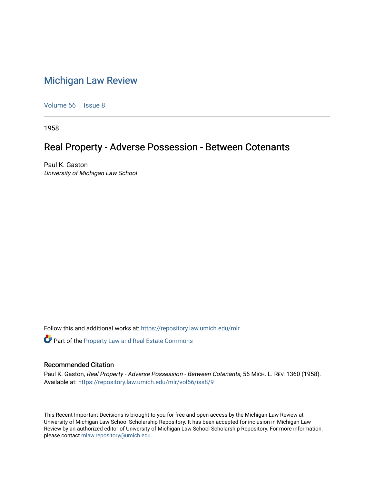## [Michigan Law Review](https://repository.law.umich.edu/mlr)

[Volume 56](https://repository.law.umich.edu/mlr/vol56) | [Issue 8](https://repository.law.umich.edu/mlr/vol56/iss8)

1958

## Real Property - Adverse Possession - Between Cotenants

Paul K. Gaston University of Michigan Law School

Follow this and additional works at: [https://repository.law.umich.edu/mlr](https://repository.law.umich.edu/mlr?utm_source=repository.law.umich.edu%2Fmlr%2Fvol56%2Fiss8%2F9&utm_medium=PDF&utm_campaign=PDFCoverPages) 

Part of the [Property Law and Real Estate Commons](http://network.bepress.com/hgg/discipline/897?utm_source=repository.law.umich.edu%2Fmlr%2Fvol56%2Fiss8%2F9&utm_medium=PDF&utm_campaign=PDFCoverPages) 

## Recommended Citation

Paul K. Gaston, Real Property - Adverse Possession - Between Cotenants, 56 MICH. L. REV. 1360 (1958). Available at: [https://repository.law.umich.edu/mlr/vol56/iss8/9](https://repository.law.umich.edu/mlr/vol56/iss8/9?utm_source=repository.law.umich.edu%2Fmlr%2Fvol56%2Fiss8%2F9&utm_medium=PDF&utm_campaign=PDFCoverPages)

This Recent Important Decisions is brought to you for free and open access by the Michigan Law Review at University of Michigan Law School Scholarship Repository. It has been accepted for inclusion in Michigan Law Review by an authorized editor of University of Michigan Law School Scholarship Repository. For more information, please contact [mlaw.repository@umich.edu.](mailto:mlaw.repository@umich.edu)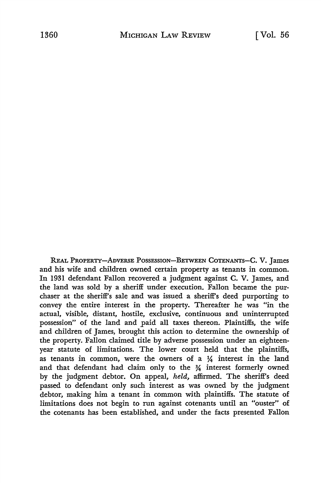REAL PROPERTY-ADVERSE POSSESSION-BETWEEN COTENANTS-C. V. James and his wife and children owned certain property as tenants in common. In 1931 defendant Fallon recovered a judgment against **C. V.** James, and the land was sold by a sheriff under execution. Fallon became the purchaser at the sheriff's sale and was issued a sheriff's deed purporting to convey the entire interest in the property. Thereafter he was "in the actual, visible, distant, hostile, exclusive, continuous and uninterrupted possession" of the land and paid all taxes thereon. Plaintiffs, the wife and children of James, brought this action to determine the ownership of the property. Fallon claimed title by adverse possession under an eighteenyear statute of limitations. The lower court held that the plaintiffs, as tenants in common, were the owners of a  $\frac{1}{4}$  interest in the land and that defendant had claim only to the *¾* interest formerly owned by the judgment debtor. On appeal, *held,* affirmed. The sheriff's deed passed to defendant only such interest as was owned by the judgment debtor, making him a tenant in common with plaintiffs. The statute of limitations does not begin to run against cotenants until an "ouster" of the cotenants has been established, and under the facts presented Fallon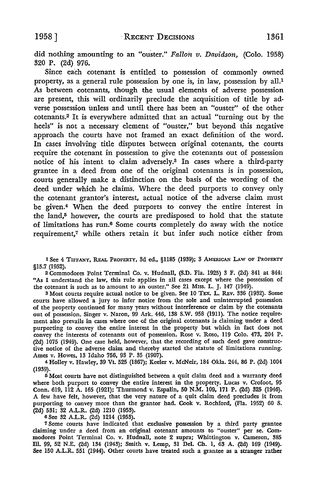did nothing amounting to an "ouster." *Fallon v. Davidson,* (Colo. 1958) 320 P. (2d) 976.

Since each cotenant is entitled to possession of commonly owned property, as a general rule possession by one is, in law, possession by all.<sup>1</sup> As between cotenants, though the usual elements of adverse possession are present, this will ordinarily preclude the acquisition of title by adverse possession unless and until there has been an "ouster" of the other cotenants.2 It is everywhere admitted that an actual "turning out by the heels" is not a necessary element of "ouster," but beyond this negative approach the courts have not framed an exact definition of the word. In cases involving title disputes between original cotenants, the courts require the cotenant in possession to give the cotenants out of possession notice of his intent to claim adversely.3 In cases where a third-party grantee in a deed from one of the original cotenants is in possession, courts generally make a distinction· on the basis of the wording of the deed under which he claims. Where the deed purports to convey only the cotenant grantor's interest, actual notice of the adverse claim must be given.4 When the deed purports to convey the entire interest in the land,<sup>5</sup> however, the courts are predisposed to hold that the statute of limitations has run.6 Some courts completely do away with the notice requirement,7 while others retain it but infer such notice either from

l See 4 TIFFANY, REAL PROPERTY, 3d ed., §1185 (1939); 3 AMERICAN LAW OF PROPERTY §15.7 (1952).

<sup>2</sup>Commodores Point Terminal Co. v. Hudnall, (S.D. Fla. 1925) 3 F. (2d) 841\_ at 844: *"As* I understand the law, this rule applies in all cases except where the possession of the cotenant is such as to amount to an ouster." See 21 Miss. L. J. 147 (1949).

3 Most courts require actual notice to be given. See 10 TEX. L. REv. 336 (1932). Some courts have allowed a jury to infer notice from the sole and uninterrupted possession of the property continued for many years without interference or claim by the cotenants out of possession. Singer v. Naron, 99 Ark. 446, 138 S.W. 958 (1911). The notice requirement also prevails in cases where one of the original cotenants is claiming under a deed purporting to convey the entire interest in the property but which in fact does not convey the interests of cotenants out of possession. Rose v. Roso, 119 Colo. 473, 204 P. (2d) 1075 (1949). One case held, however, that the recording of such deed gave constructive notice of the adverse claim and thereby started the statute of limitations running. Ames v. Howes, 13 Idaho 756, 93 P. 35 (1907).

4 Holley v. Hawley, 39 Vt. 525 (1867); Keeler v. McNeir, 184 Okla. 244, 86 P. (2d) 1004 (1939).

5 Most courts have not distinguished between a quit claim deed and a warranty deed where both purport to convey the entire interest in the property. Lucas v. Crofoot, 95 Conn. 619, 112 A. 165 (1921); Thurmond v. Espalin, 50 **N.M.** 109, 171 P. (2d) 325 (1946). A few have felt, however, that the very nature of a quit claim deed precludes it from purporting to convey more than the grantor had. Cook v. Rochford, (Fla. 1952) 60 S.  $(2d)$  531; 32 A.L.R.  $(2d)$  1210  $(1953)$ .

6 See 32 A.L.R. (2d) 1214 (1953).

<sup>7</sup>Some courts have indicated that exclusive possession by a third party grantee claiming under a deed from an original cotenant amounts to "ouster" per se. Commodores Point Terminal Co. v. Hudnall, note 2 supra; Whittington v. Cameron, 385 m. 99, 52 N.E. (2d) 134 (1943); Smith v. Lemp, 31 Del. Ch. 1, 63 A. (2d) 169 (1949). See 150 A.L.R. 551 (1944). Other courts have treated such a grantee as a stranger rather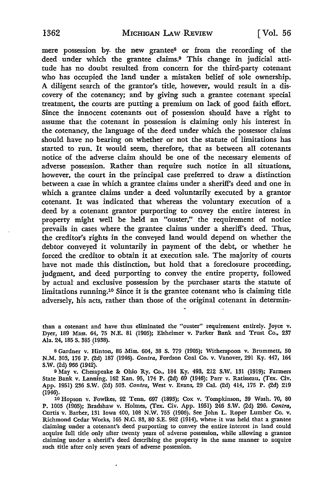mere possession by- the new grantee8 or from the recording of the deed under which the grantee claims.9 This change in judicial attitude has no doubt resulted from concern for the third-party cotenant who has occupied the land under a mistaken belief of sole ownership. A diligent search of the grantor's title, however, would result in a discovery of the cotenancy; and by giving such a grantee cotenant special treatment, the courts are putting a premium on lack of good faith effort. Since the innocent cotenants out of possession should have a right to assume that the cotenant in possession is claiming only his interest in the cotenancy, the language of the deed under which the possessor claims should have no bearing on whether or not the statute of limitations has started to run. It would seem, therefore, that as between all cotenants notice of the adverse claim should be one of the necessary elements of adverse possession. Rather than require such notice in all situations, however, the court in the principal case preferred to draw a distinction between a case in which a grantee claims under a sheriff's deed and one in which a grantee claims under a deed voluntarily executed by a grantor cotenant. It was indicated that whereas the voluntary execution of a deed by a cotenant grantor purporting to convey the entire interest in property might well be held an "ouster," the requirement of notice prevails in cases where the grantee claims under a sheriff's deed. Thus, the creditor's rights in the conveyed land would depend on whether the debtor conveyed it voluntarily in payment of the debt, or whether he forced the creditor to obtain it at execution sale. The majority of courts have not made this distinction, but hold that a foreclosure proceeding, judgment, and deed purporting to convey the entire property, followed by actual- and exclusive possession by the purchaser starts the statute of limitations running.10 Since it is the grantee cotenant who is claiming title adversely, his acts, rather than those of the original cotenant in determin-

than a cotenant and have thus eliminated the "ouster" requirement entirely. Joyce v. Dyer, 189 Mass. 64, 75 N.E. 81 (1905); Elsheimer v. Parker Bank and Trust Co., 237 Ala. 24, 185 S. 385 (1938).

s Gardner v. Hinton, 86 Miss. 604, 38 S. 779 (1905); Witherspoon v. Brummett, 50 N.M. 303, 176 P. (2d) 187 (1946). *Contra,* Fordson Coal Co. v. Vanover, 291 Ky. 447, 164 S.W. (2d) 966 (1942).

9 May v. Chesapeake &: Ohio Ry. Co., 184 Ky. 493, 212 S.W. 131 (1919); Farmers State Bank v. Lanning, 162 Kan. 95, 174 P. (2d) 69 (1946); Parr v. Ratisseau, (Tex. Civ. App. 1951) 236 S.W. (2d) 503. *Contra,* West v. Evans, 29 Cal. (2d) 414, 175 P. (2d) 219 (1946).

10 Hopson v. Fowlkes, 92 Tenn. 697 (1893); Cox v. Tompkinson, 39 Wash. 70, 80 P. 1005 (1905); Bradshaw v. Holmes, (Tex. Civ. App. 1951) 246 S.W. (2d) 296. *Contra,*  Curtis v. Barber, 131 Iowa 400, 108 **N.W.** 755 (1906). See John L. Roper Lumber Co. v. Richmond Cedar Works, 165 **N.C.** 83, 80 S.E. 982 (1914), where it was held that a grantee claiming under a cotenant's deed purporting to convey the entire interest in land could acquire full title only after twenty years of adverse possession, while allowing a grantee claiming under a sheriff's deed describing the property in the same manner to acquire such title after only seven years of adverse possession.